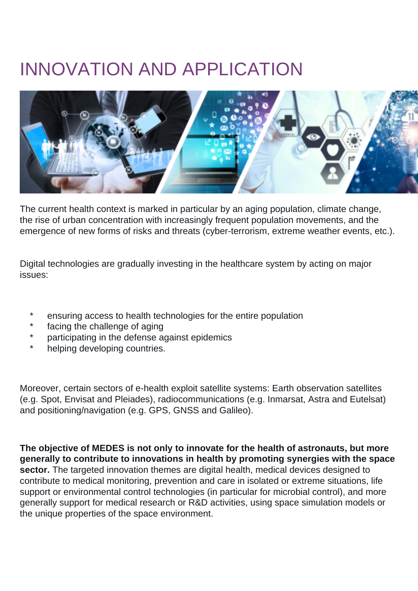## INNOVATION AND APPLICATION



The current health context is marked in particular by an aging population, climate change, the rise of urban concentration with increasingly frequent population movements, and the emergence of new forms of risks and threats (cyber-terrorism, extreme weather events, etc.).

Digital technologies are gradually investing in the healthcare system by acting on major issues:

- ensuring access to health technologies for the entire population
- facing the challenge of aging
- \* participating in the defense against epidemics
- helping developing countries.

Moreover, certain sectors of e-health exploit satellite systems: Earth observation satellites (e.g. Spot, Envisat and Pleiades), radiocommunications (e.g. Inmarsat, Astra and Eutelsat) and positioning/navigation (e.g. GPS, GNSS and Galileo).

**The objective of MEDES is not only to innovate for the health of astronauts, but more generally to contribute to innovations in health by promoting synergies with the space sector.** The targeted innovation themes are digital health, medical devices designed to contribute to medical monitoring, prevention and care in isolated or extreme situations, life support or environmental control technologies (in particular for microbial control), and more generally support for medical research or R&D activities, using space simulation models or the unique properties of the space environment.